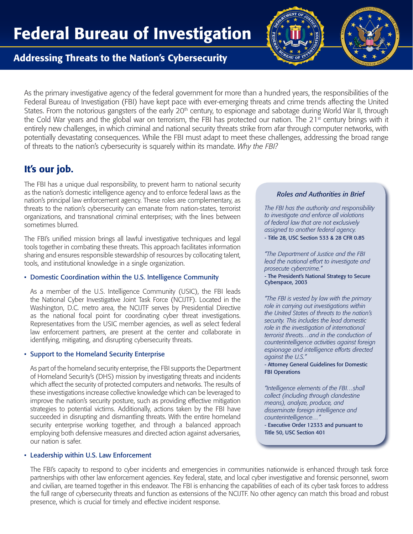

## Addressing Threats to the Nation's Cybersecurity

As the primary investigative agency of the federal government for more than a hundred years, the responsibilities of the Federal Bureau of Investigation (FBI) have kept pace with ever-emerging threats and crime trends affecting the United States. From the notorious gangsters of the early 20<sup>th</sup> century, to espionage and sabotage during World War II, through the Cold War years and the global war on terrorism, the FBI has protected our nation. The  $21<sup>st</sup>$  century brings with it entirely new challenges, in which criminal and national security threats strike from afar through computer networks, with potentially devastating consequences. While the FBI must adapt to meet these challenges, addressing the broad range of threats to the nation's cybersecurity is squarely within its mandate. *Why the FBI?*

# It's our job.

The FBI has a unique dual responsibility, to prevent harm to national security as the nation's domestic intelligence agency and to enforce federal laws as the nation's principal law enforcement agency. These roles are complementary, as threats to the nation's cybersecurity can emanate from nation-states, terrorist organizations, and transnational criminal enterprises; with the lines between sometimes blurred.

The FBI's unified mission brings all lawful investigative techniques and legal tools together in combating these threats. This approach facilitates information sharing and ensures responsible stewardship of resources by collocating talent, tools, and institutional knowledge in a single organization.

#### • Domestic Coordination within the U.S. Intelligence Community

As a member of the U.S. Intelligence Community (USIC), the FBI leads the National Cyber Investigative Joint Task Force (NCIJTF). Located in the Washington, D.C. metro area, the NCIJTF serves by Presidential Directive as the national focal point for coordinating cyber threat investigations. Representatives from the USIC member agencies, as well as select federal law enforcement partners, are present at the center and collaborate in identifying, mitigating, and disrupting cybersecurity threats.

### • Support to the Homeland Security Enterprise

As part of the homeland security enterprise, the FBI supports the Department of Homeland Security's (DHS) mission by investigating threats and incidents which affect the security of protected computers and networks. The results of these investigations increase collective knowledge which can be leveraged to improve the nation's security posture, such as providing effective mitigation strategies to potential victims. Additionally, actions taken by the FBI have succeeded in disrupting and dismantling threats. With the entire homeland security enterprise working together, and through a balanced approach employing both defensive measures and directed action against adversaries, our nation is safer.

#### • Leadership within U.S. Law Enforcement

### *Roles and Authorities in Brief*

*The FBI has the authority and responsibility to investigate and enforce all violations of federal law that are not exclusively assigned to another federal agency.* - Title 28, USC Section 533 & 28 CFR 0.85

*"The Department of Justice and the FBI lead the national effort to investigate and prosecute cybercrime."*

- The President's National Strategy to Secure Cyberspace, 2003

*"The FBI is vested by law with the primary role in carrying out investigations within the United States of threats to the nation's security. This includes the lead domestic role in the investigation of international terrorist threats…and in the conduction of counterintelligence activities against foreign espionage and intelligence efforts directed against the U.S."*

- Attorney General Guidelines for Domestic **FBI** Operations

*"Intelligence elements of the FBI…shall collect (including through clandestine means), analyze, produce, and disseminate foreign intelligence and counterintelligence…"*

- Executive Order 12333 and pursuant to Title 50, USC Section 401

The FBI's capacity to respond to cyber incidents and emergencies in communities nationwide is enhanced through task force partnerships with other law enforcement agencies. Key federal, state, and local cyber investigative and forensic personnel, sworn and civilian, are teamed together in this endeavor. The FBI is enhancing the capabilities of each of its cyber task forces to address the full range of cybersecurity threats and function as extensions of the NCIJTF. No other agency can match this broad and robust presence, which is crucial for timely and effective incident response.